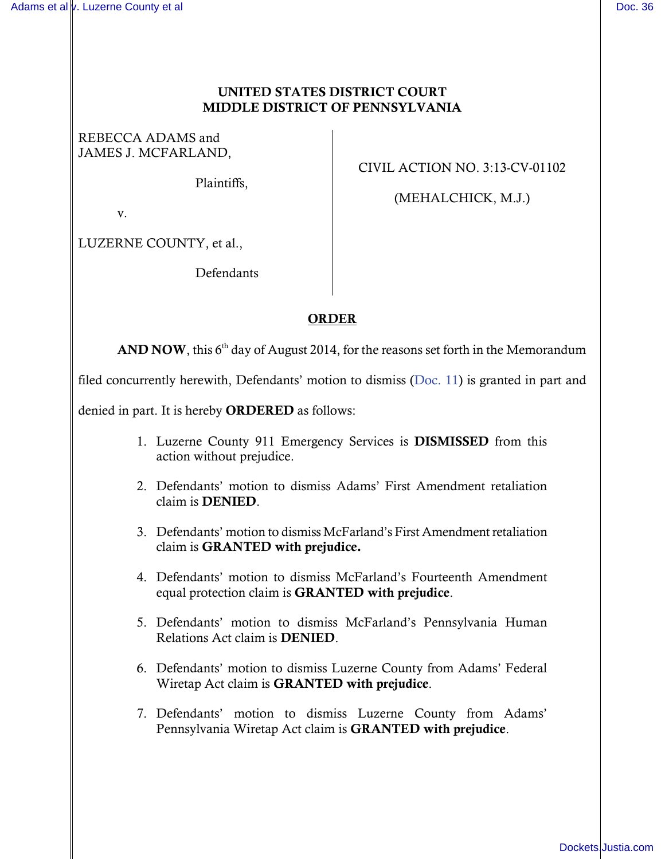## UNITED STATES DISTRICT COURT MIDDLE DISTRICT OF PENNSYLVANIA

REBECCA ADAMS and JAMES J. MCFARLAND,

Plaintiffs,

CIVIL ACTION NO. 3:13-CV-01102

(MEHALCHICK, M.J.)

v.

LUZERNE COUNTY, et al.,

Defendants

## ORDER

AND NOW, this  $6<sup>th</sup>$  day of August 2014, for the reasons set forth in the Memorandum

filed concurrently herewith, Defendants' motion to dismiss [\(Doc. 11\)](https://ecf.pamd.uscourts.gov/doc1/15514402295) is granted in part and

denied in part. It is hereby ORDERED as follows:

- 1. Luzerne County 911 Emergency Services is DISMISSED from this action without prejudice.
- 2. Defendants' motion to dismiss Adams' First Amendment retaliation claim is DENIED.
- 3. Defendants' motion to dismiss McFarland's First Amendment retaliation claim is GRANTED with prejudice.
- 4. Defendants' motion to dismiss McFarland's Fourteenth Amendment equal protection claim is GRANTED with prejudice.
- 5. Defendants' motion to dismiss McFarland's Pennsylvania Human Relations Act claim is DENIED.
- 6. Defendants' motion to dismiss Luzerne County from Adams' Federal Wiretap Act claim is GRANTED with prejudice.
- 7. Defendants' motion to dismiss Luzerne County from Adams' Pennsylvania Wiretap Act claim is GRANTED with prejudice.